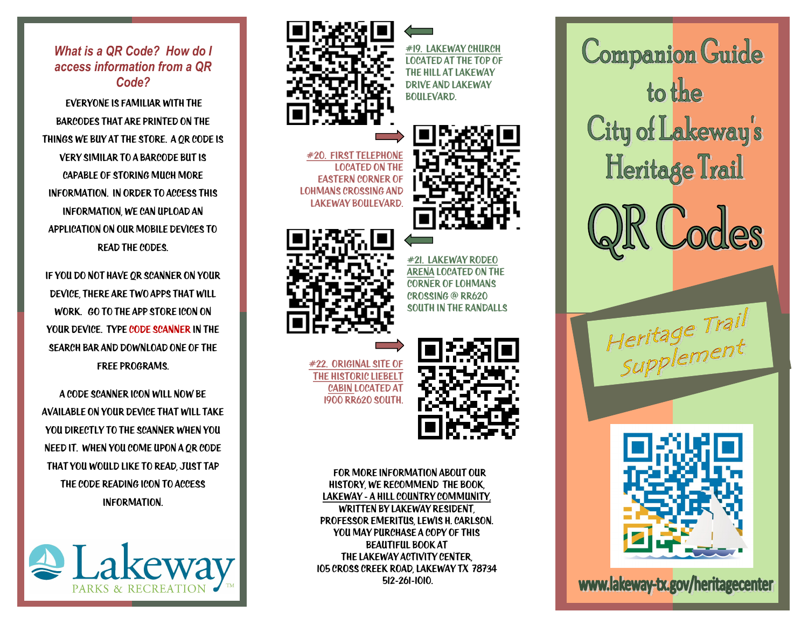*What is a QR Code? How do I access information from a QR Code?*

Everyone is familiar with the barcodes that are printed on the things we buy at the store. A QR Code is very similar to a barcode but is capable of storing much more information. In order to access this information, we can upload an application on our mobile devices to read the codes.

If you do not have QR Scanner on your device, there are two Apps that will work. go to the app Store icon on YOUR DEVICE. TYPE CODE SCANNER IN THE search bar and download one of the free programs.

A code scanner icon will now be available on your device that will take you directly to the scanner when you need it. When you come upon a QR code that you would like to read, just tap the code reading icon to access information.





#19. Lakeway church located at the top of the hill at Lakeway Drive and lakeway boulevard.

#20. FIRST TELEPHON located on the Eastern corner of Lohmans crossing and lakeway boulevard.





#21. lakeway rodeo Arena located on the corner of lohmans crossing @ rr620 south in the randalls

#22. original site of THE HISTORIC LIFBELT cabin located at 1900 RR620 south.



 For more information about our history, we recommend the book, Lakeway - a hill Country community, written by lakeway resident, professor emeritus, lewis h. Carlson. You may purchase a copy of this Beautiful book at the lakeway activity center, 105 cross creek road, lakeway tx 78734 512-261-1010.

**Companion Guide** to the City of Lakeway's Heritage Trail Heritage Trail

www.lakeway-tx.gov/heritagecenter